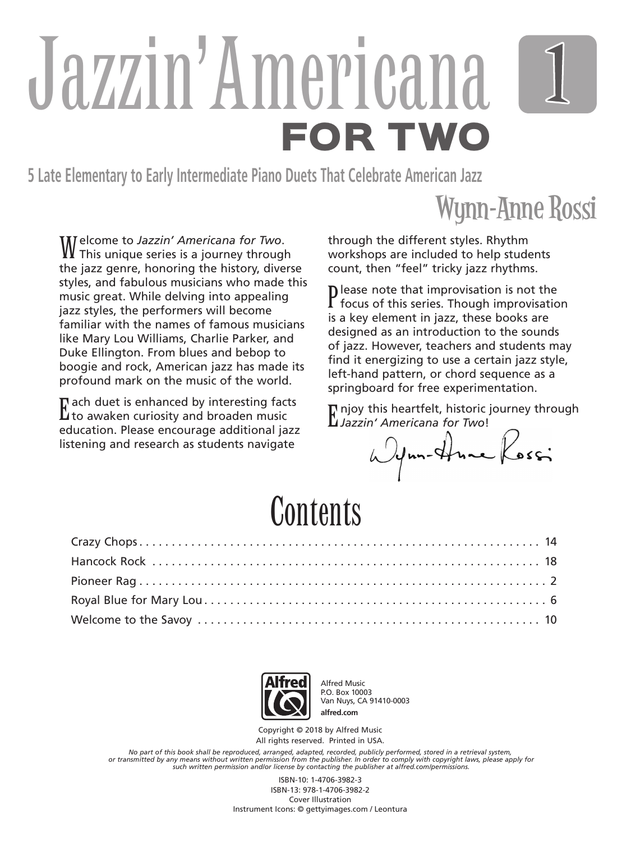# Jazzin' Americana FOR TWO

**5 Late Elementary to Early Intermediate Piano Duets That Celebrate American Jazz**

### Wynn-Anne Rossi

Welcome to *Jazzin' Americana for Two*. This unique series is a journey through the jazz genre, honoring the history, diverse styles, and fabulous musicians who made this music great. While delving into appealing jazz styles, the performers will become familiar with the names of famous musicians like Mary Lou Williams, Charlie Parker, and Duke Ellington. From blues and bebop to boogie and rock, American jazz has made its profound mark on the music of the world.

 $\Gamma$  ach duet is enhanced by interesting fact<br>Lito awaken curiosity and broaden music  $\Gamma$  ach duet is enhanced by interesting facts education. Please encourage additional jazz listening and research as students navigate

through the different styles. Rhythm workshops are included to help students count, then "feel" tricky jazz rhythms.

Please note that improvisation is not the<br>focus of this series. Though improvisation  $\mathbf D$  lease note that improvisation is not the is a key element in jazz, these books are designed as an introduction to the sounds of jazz. However, teachers and students may find it energizing to use a certain jazz style, left-hand pattern, or chord sequence as a springboard for free experimentation.

Finjoy this heartfelt, historic journey through<br>Luiszain' Americana for Two! *Jazzin' Americana for Two*!

Wynn-Hune Kossi

### Contents



Alfred Music P.O. Box 10003 Van Nuys, CA 91410-0003 **alfred.com**

Copyright © 2018 by Alfred Music All rights reserved. Printed in USA.

*No part of this book shall be reproduced, arranged, adapted, recorded, publicly performed, stored in a retrieval system,* or transmitted by any means without written permission from the publisher. In order to comply with copyright laws, please apply for<br>such written permission and/or license by contacting the publisher at alfred.com/permissio

> ISBN-10: 1-4706-3982-3 ISBN-13: 978-1-4706-3982-2 Cover Illustration Instrument Icons: © gettyimages.com / Leontura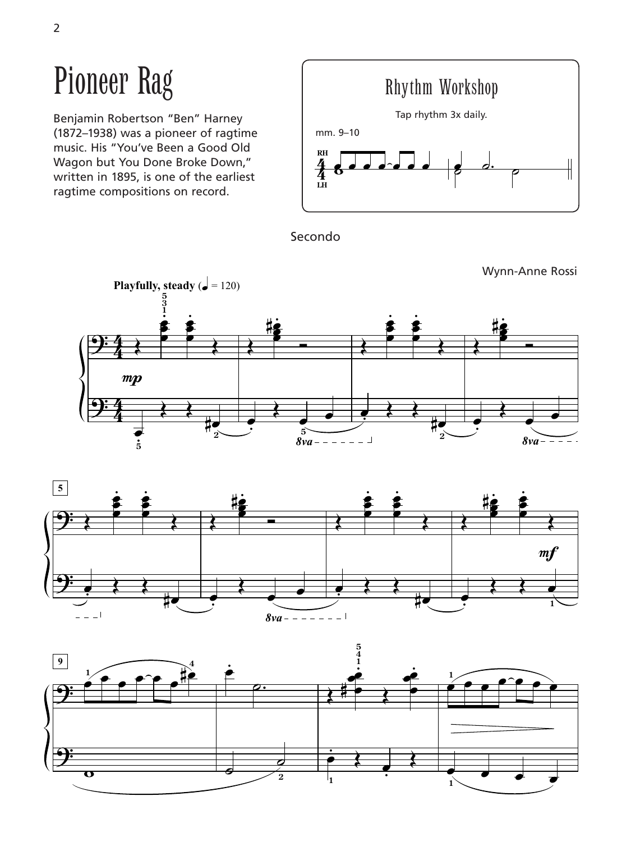## Pioneer Rag

Benjamin Robertson "Ben" Harney (1872–1938) was a pioneer of ragtime music. His "You've Been a Good Old Wagon but You Done Broke Down," written in 1895, is one of the earliest ragtime compositions on record.



Secondo





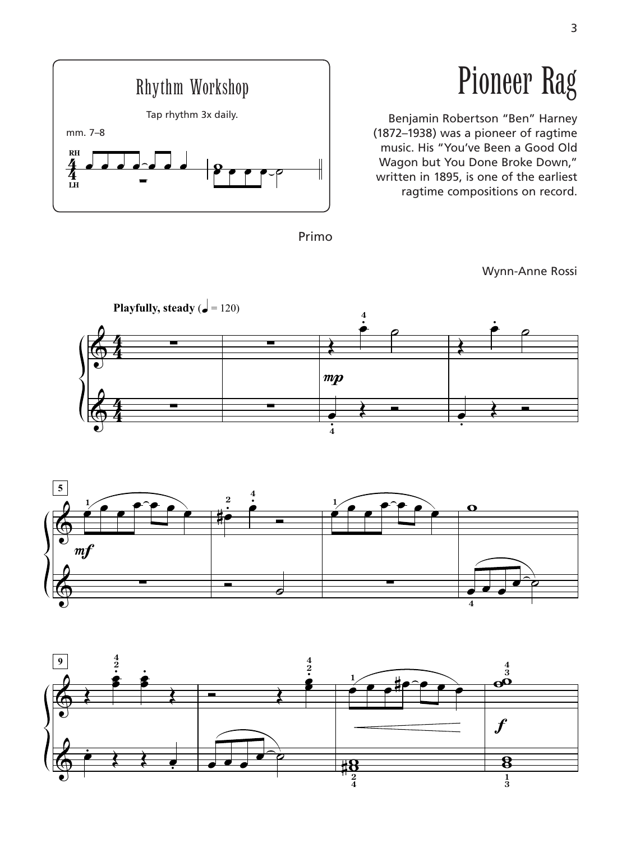

## Pioneer Rag

Benjamin Robertson "Ben" Harney (1872–1938) was a pioneer of ragtime music. His "You've Been a Good Old Wagon but You Done Broke Down," written in 1895, is one of the earliest ragtime compositions on record.

Primo

Wynn-Anne Rossi





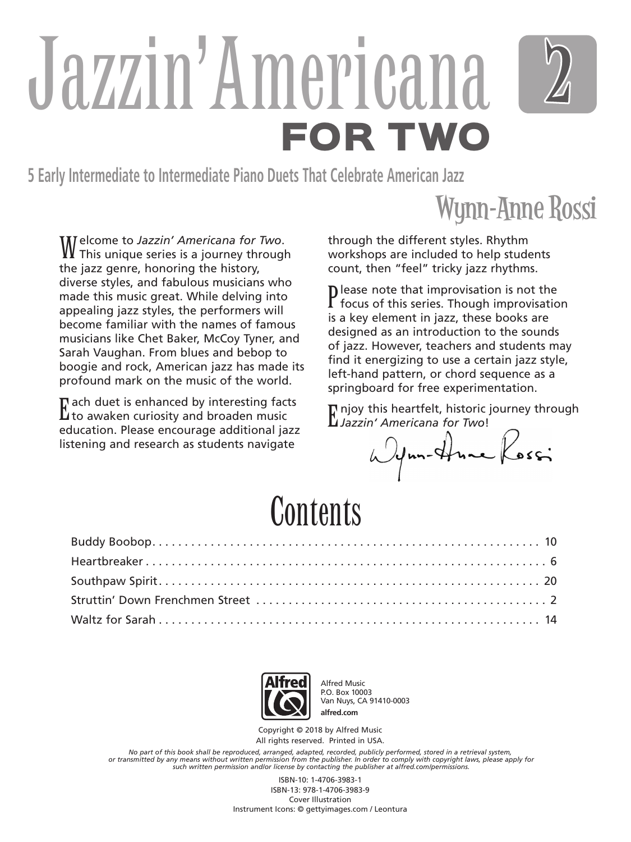## Jazzin' Americana FOR TWO

**5 Early Intermediate to Intermediate Piano Duets That Celebrate American Jazz**

#### Wynn-Anne Rossi

Welcome to *Jazzin' Americana for Two*. This unique series is a journey through the jazz genre, honoring the history, diverse styles, and fabulous musicians who made this music great. While delving into appealing jazz styles, the performers will become familiar with the names of famous musicians like Chet Baker, McCoy Tyner, and Sarah Vaughan. From blues and bebop to boogie and rock, American jazz has made its profound mark on the music of the world.

 $\Gamma$  ach duet is enhanced by interesting fact<br>Lito awaken curiosity and broaden music  $\Gamma$  ach duet is enhanced by interesting facts education. Please encourage additional jazz listening and research as students navigate

through the different styles. Rhythm workshops are included to help students count, then "feel" tricky jazz rhythms.

Please note that improvisation is not the<br>focus of this series. Though improvisation  $\mathbf D$  lease note that improvisation is not the is a key element in jazz, these books are designed as an introduction to the sounds of jazz. However, teachers and students may find it energizing to use a certain jazz style, left-hand pattern, or chord sequence as a springboard for free experimentation.

Finjoy this heartfelt, historic journey through<br>Luiszain' Americana for Two! *Jazzin' Americana for Two*!

Wynn-Hune Kossi

### Contents



Alfred Music P.O. Box 10003 Van Nuys, CA 91410-0003 **alfred.com**

Copyright © 2018 by Alfred Music All rights reserved. Printed in USA.

*No part of this book shall be reproduced, arranged, adapted, recorded, publicly performed, stored in a retrieval system,* or transmitted by any means without written permission from the publisher. In order to comply with copyright laws, please apply for<br>such written permission and/or license by contacting the publisher at alfred.com/permissio

> ISBN-10: 1-4706-3983-1 ISBN-13: 978-1-4706-3983-9 Cover Illustration Instrument Icons: © gettyimages.com / Leontura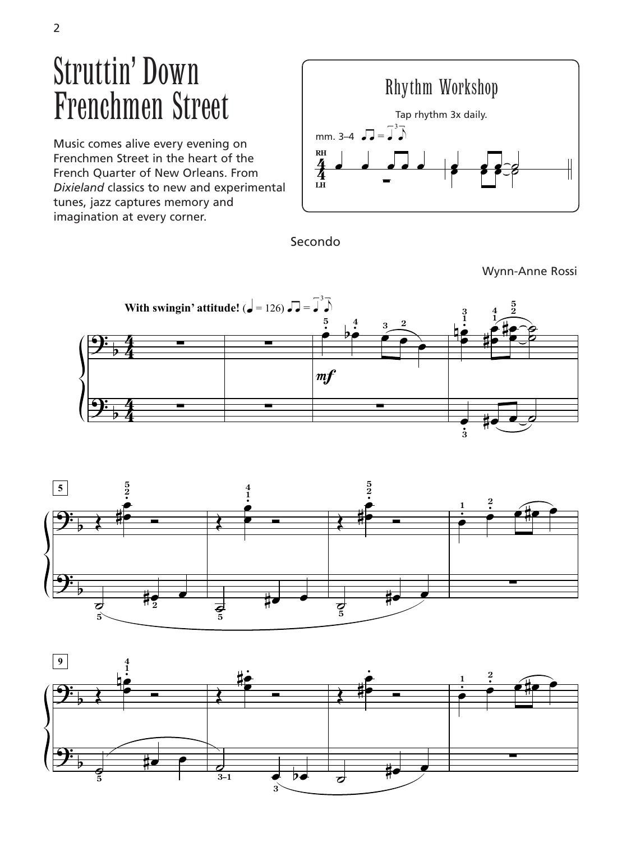### Struttin' Down Frenchmen Street

Music comes alive every evening on Frenchmen Street in the heart of the **2 5** French Quarter of New Orleans. From<br>Divioland classics to new and experime *Dixieland* classics to new and experimental b 4 tunes, jazz captures memory and imagination at every corner. ar<br>ea lea<br>Ind



Secondo<br>

Wynn-Anne Rossi